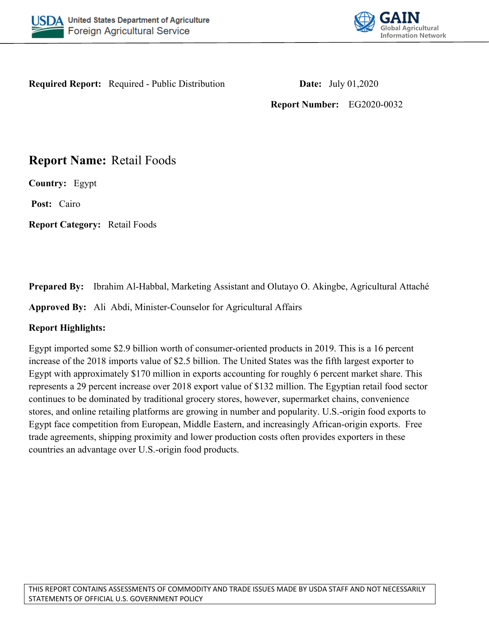



**Required Report:** Required - Public Distribution **Date:** July 01,2020

**Report Number:** EG2020-0032

# **Report Name:** Retail Foods

**Country:** Egypt

**Post:** Cairo

**Report Category:** Retail Foods

**Prepared By:** Ibrahim Al-Habbal, Marketing Assistant and Olutayo O. Akingbe, Agricultural Attaché

**Approved By:** Ali Abdi, Minister-Counselor for Agricultural Affairs

# **Report Highlights:**

Egypt imported some \$2.9 billion worth of consumer-oriented products in 2019. This is a 16 percent increase of the 2018 imports value of \$2.5 billion. The United States was the fifth largest exporter to Egypt with approximately \$170 million in exports accounting for roughly 6 percent market share. This represents a 29 percent increase over 2018 export value of \$132 million. The Egyptian retail food sector continues to be dominated by traditional grocery stores, however, supermarket chains, convenience stores, and online retailing platforms are growing in number and popularity. U.S.-origin food exports to Egypt face competition from European, Middle Eastern, and increasingly African-origin exports. Free trade agreements, shipping proximity and lower production costs often provides exporters in these countries an advantage over U.S.-origin food products.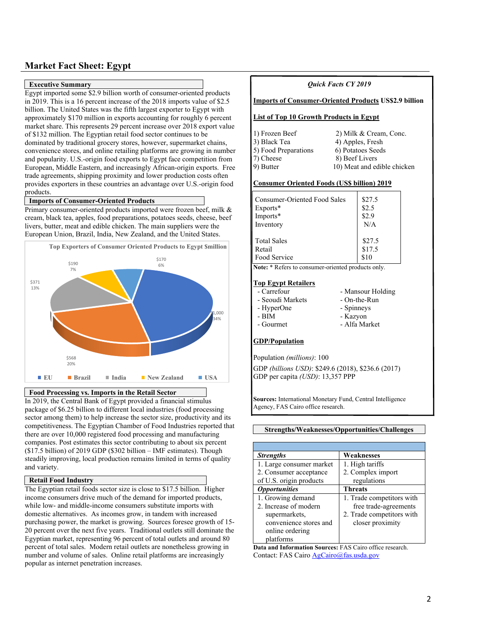# **Market Fact Sheet: Egypt**

#### **Executive Summary**

Egypt imported some \$2.9 billion worth of consumer-oriented products in 2019. This is a 16 percent increase of the 2018 imports value of \$2.5 billion. The United States was the fifth largest exporter to Egypt with approximately \$170 million in exports accounting for roughly 6 percent market share. This represents 29 percent increase over 2018 export value of \$132 million. The Egyptian retail food sector continues to be dominated by traditional grocery stores, however, supermarket chains, convenience stores, and online retailing platforms are growing in number and popularity. U.S.-origin food exports to Egypt face competition from European, Middle Eastern, and increasingly African-origin exports. Free trade agreements, shipping proximity and lower production costs often provides exporters in these countries an advantage over U.S.-origin food products.

#### **Imports of Consumer-Oriented Products**

Primary consumer-oriented products imported were frozen beef, milk & cream, black tea, apples, food preparations, potatoes seeds, cheese, beef livers, butter, meat and edible chicken. The main suppliers were the European Union, Brazil, India, New Zealand, and the United States.



**Food Processing vs. Imports in the Retail Sector**

In 2019, the Central Bank of Egypt provided a financial stimulus package of \$6.25 billion to different local industries (food processing sector among them) to help increase the sector size, productivity and its competitiveness. The Egyptian Chamber of Food Industries reported that there are over 10,000 registered food processing and manufacturing companies. Post estimates this sector contributing to about six percent (\$17.5 billion) of 2019 GDP (\$302 billion – IMF estimates). Though steadily improving, local production remains limited in terms of quality and variety.

#### **Retail Food Industry**

The Egyptian retail foods sector size is close to \$17.5 billion. Higher income consumers drive much of the demand for imported products, while low- and middle-income consumers substitute imports with domestic alternatives. As incomes grow, in tandem with increased purchasing power, the market is growing. Sources foresee growth of 15- 20 percent over the next five years. Traditional outlets still dominate the Egyptian market, representing 96 percent of total outlets and around 80 percent of total sales. Modern retail outlets are nonetheless growing in number and volume of sales. Online retail platforms are increasingly popular as internet penetration increases.

| Quick Facts CY 2019                                |                                                              |  |  |  |
|----------------------------------------------------|--------------------------------------------------------------|--|--|--|
|                                                    | <b>Imports of Consumer-Oriented Products US\$2.9 billion</b> |  |  |  |
|                                                    | <b>List of Top 10 Growth Products in Egypt</b>               |  |  |  |
| 1) Frozen Beef                                     | 2) Milk & Cream, Conc.                                       |  |  |  |
| 3) Black Tea                                       | 4) Apples, Fresh                                             |  |  |  |
| 5) Food Preparations                               | 6) Potatoes Seeds                                            |  |  |  |
| 7) Cheese                                          | 8) Beef Livers                                               |  |  |  |
| 9) Butter                                          | 10) Meat and edible chicken                                  |  |  |  |
| <b>Consumer Oriented Foods (US\$ billion) 2019</b> |                                                              |  |  |  |
| \$27.5<br>Consumer-Oriented Food Sales             |                                                              |  |  |  |
| Exports*                                           | \$2.5                                                        |  |  |  |
| Imports*                                           | \$2.9                                                        |  |  |  |
| Inventory                                          | N/A                                                          |  |  |  |
| <b>Total Sales</b>                                 | \$27.5                                                       |  |  |  |
| Retail                                             | \$17.5                                                       |  |  |  |
| Food Service                                       | \$10                                                         |  |  |  |
| Note: * Refers to consumer-oriented products only. |                                                              |  |  |  |
| <b>Top Egypt Retailers</b>                         |                                                              |  |  |  |
| - Carrefour<br>- Mansour Holding                   |                                                              |  |  |  |

- 
- 
- Seoudi Markets On-the-Run
- HyperOne Spinneys
- 
- BIM Kazyon
- Gourmet Alfa Market

#### **GDP/Population**

Population *(millions)*: 100

GDP *(billions USD)*: \$249.6 (2018), \$236.6 (2017) GDP per capita *(USD)*: 13,357 PPP

**Sources:** International Monetary Fund, Central Intelligence Agency, FAS Cairo office research.

#### **Strengths/Weaknesses/Opportunities/Challenges**

| <b>Strengths</b>            | Weaknesses                |
|-----------------------------|---------------------------|
| 1. Large consumer market    | 1. High tariffs           |
| 2. Consumer acceptance      | 2. Complex import         |
| of U.S. origin products     | regulations               |
| <i><b>Opportunities</b></i> | <b>Threats</b>            |
| 1. Growing demand           | 1. Trade competitors with |
| 2. Increase of modern       | free trade-agreements     |
| supermarkets,               | 2. Trade competitors with |
| convenience stores and      | closer proximity          |
| online ordering             |                           |
| platforms                   |                           |

**Data and Information Sources:** FAS Cairo office research. Contact: FAS Cairo [AgCairo@fas.usda.gov](mailto:AgCairo@fas.usda.gov)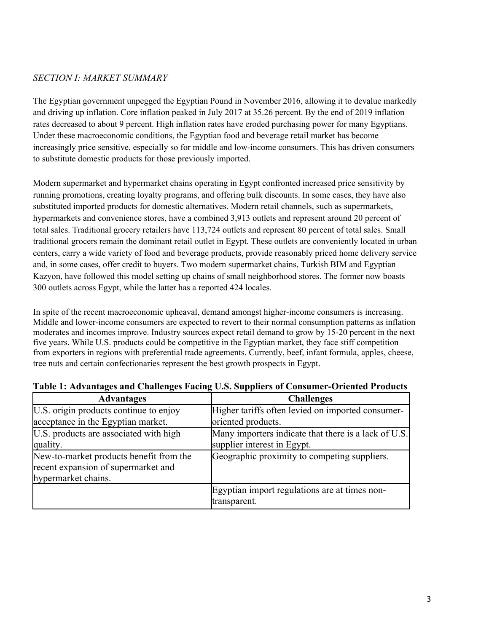### *SECTION I: MARKET SUMMARY*

The Egyptian government unpegged the Egyptian Pound in November 2016, allowing it to devalue markedly and driving up inflation. Core inflation peaked in July 2017 at 35.26 percent. By the end of 2019 inflation rates decreased to about 9 percent. High inflation rates have eroded purchasing power for many Egyptians. Under these macroeconomic conditions, the Egyptian food and beverage retail market has become increasingly price sensitive, especially so for middle and low-income consumers. This has driven consumers to substitute domestic products for those previously imported.

Modern supermarket and hypermarket chains operating in Egypt confronted increased price sensitivity by running promotions, creating loyalty programs, and offering bulk discounts. In some cases, they have also substituted imported products for domestic alternatives. Modern retail channels, such as supermarkets, hypermarkets and convenience stores, have a combined 3,913 outlets and represent around 20 percent of total sales. Traditional grocery retailers have 113,724 outlets and represent 80 percent of total sales. Small traditional grocers remain the dominant retail outlet in Egypt. These outlets are conveniently located in urban centers, carry a wide variety of food and beverage products, provide reasonably priced home delivery service and, in some cases, offer credit to buyers. Two modern supermarket chains, Turkish BIM and Egyptian Kazyon, have followed this model setting up chains of small neighborhood stores. The former now boasts 300 outlets across Egypt, while the latter has a reported 424 locales.

In spite of the recent macroeconomic upheaval, demand amongst higher-income consumers is increasing. Middle and lower-income consumers are expected to revert to their normal consumption patterns as inflation moderates and incomes improve. Industry sources expect retail demand to grow by 15-20 percent in the next five years. While U.S. products could be competitive in the Egyptian market, they face stiff competition from exporters in regions with preferential trade agreements. Currently, beef, infant formula, apples, cheese, tree nuts and certain confectionaries represent the best growth prospects in Egypt.

| <b>Advantages</b>                       | <b>Challenges</b>                                    |
|-----------------------------------------|------------------------------------------------------|
| U.S. origin products continue to enjoy  | Higher tariffs often levied on imported consumer-    |
| acceptance in the Egyptian market.      | oriented products.                                   |
| U.S. products are associated with high  | Many importers indicate that there is a lack of U.S. |
| quality.                                | supplier interest in Egypt.                          |
| New-to-market products benefit from the | Geographic proximity to competing suppliers.         |
| recent expansion of supermarket and     |                                                      |
| hypermarket chains.                     |                                                      |
|                                         | Egyptian import regulations are at times non-        |
|                                         | transparent.                                         |

#### **Table 1: Advantages and Challenges Facing U.S. Suppliers of Consumer-Oriented Products**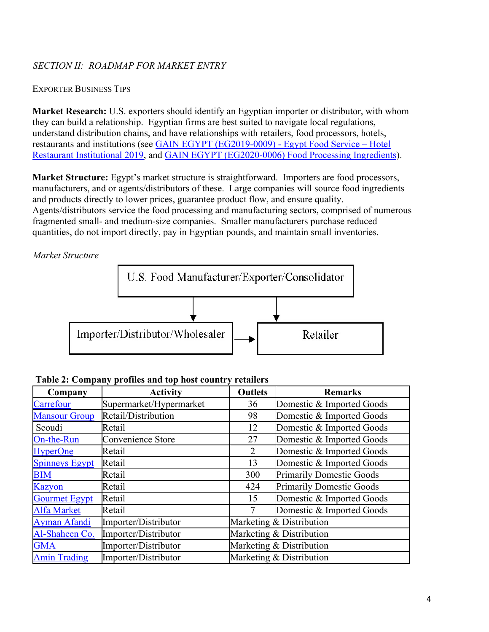# *SECTION II: ROADMAP FOR MARKET ENTRY*

### EXPORTER BUSINESS TIPS

**Market Research:** U.S. exporters should identify an Egyptian importer or distributor, with whom they can build a relationship. Egyptian firms are best suited to navigate local regulations, understand distribution chains, and have relationships with retailers, food processors, hotels, restaurants and institutions (see [GAIN EGYPT \(EG2019-0009\) - Egypt Food Service – Hotel](https://apps.fas.usda.gov/newgainapi/api/Report/DownloadReportByFileName?fileName=Food%20Service%20-%20Hotel%20Restaurant%20Institutional_Cairo_Egypt_09-30-2019)  [Restaurant Institutional 2019,](https://apps.fas.usda.gov/newgainapi/api/Report/DownloadReportByFileName?fileName=Food%20Service%20-%20Hotel%20Restaurant%20Institutional_Cairo_Egypt_09-30-2019) and [GAIN EGYPT \(EG2020-0006\) Food Processing Ingredients\)](https://apps.fas.usda.gov/newgainapi/api/Report/DownloadReportByFileName?fileName=Food%20Processing%20Ingredients_Cairo_Egypt_03-30-2020).

**Market Structure:** Egypt's market structure is straightforward. Importers are food processors, manufacturers, and or agents/distributors of these. Large companies will source food ingredients and products directly to lower prices, guarantee product flow, and ensure quality. Agents/distributors service the food processing and manufacturing sectors, comprised of numerous fragmented small- and medium-size companies. Smaller manufacturers purchase reduced quantities, do not import directly, pay in Egyptian pounds, and maintain small inventories.

*Market Structure*



| Company               | <b>Activity</b>         | <b>Outlets</b>           | <b>Remarks</b>                  |
|-----------------------|-------------------------|--------------------------|---------------------------------|
| Carrefour             | Supermarket/Hypermarket | 36                       | Domestic & Imported Goods       |
| <b>Mansour Group</b>  | Retail/Distribution     | 98                       | Domestic & Imported Goods       |
| Seoudi                | Retail                  | 12                       | Domestic & Imported Goods       |
| On-the-Run            | Convenience Store       | 27                       | Domestic & Imported Goods       |
| <b>HyperOne</b>       | Retail                  | 2                        | Domestic & Imported Goods       |
| <b>Spinneys Egypt</b> | Retail                  | 13                       | Domestic & Imported Goods       |
| <b>BIM</b>            | Retail                  | 300                      | <b>Primarily Domestic Goods</b> |
| Kazyon                | Retail                  | 424                      | <b>Primarily Domestic Goods</b> |
| <b>Gourmet Egypt</b>  | Retail                  | 15                       | Domestic & Imported Goods       |
| <b>Alfa Market</b>    | Retail                  |                          | Domestic & Imported Goods       |
| <b>Ayman Afandi</b>   | Importer/Distributor    | Marketing & Distribution |                                 |
| Al-Shaheen Co.        | Importer/Distributor    | Marketing & Distribution |                                 |
| <b>GMA</b>            | Importer/Distributor    | Marketing & Distribution |                                 |
| <b>Amin Trading</b>   | Importer/Distributor    |                          | Marketing & Distribution        |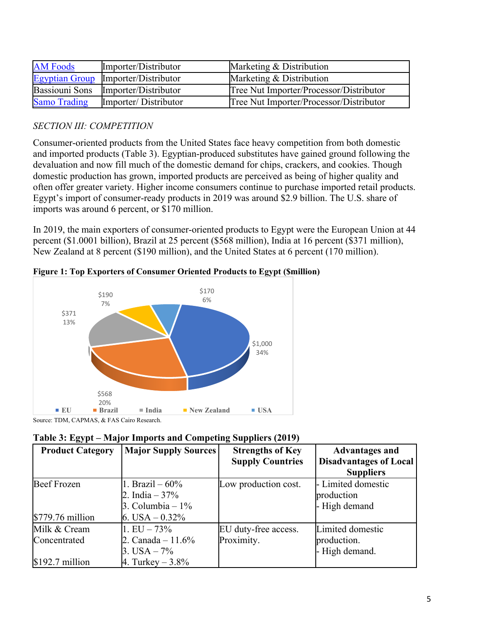| <b>AM Foods</b>     | Importer/Distributor                | Marketing & Distribution                |
|---------------------|-------------------------------------|-----------------------------------------|
|                     | Egyptian Group Importer/Distributor | Marketing & Distribution                |
|                     | Bassiouni Sons Importer/Distributor | Tree Nut Importer/Processor/Distributor |
| <b>Samo Trading</b> | Importer/Distributor                | Tree Nut Importer/Processor/Distributor |

# *SECTION III: COMPETITION*

Consumer-oriented products from the United States face heavy competition from both domestic and imported products (Table 3). Egyptian-produced substitutes have gained ground following the devaluation and now fill much of the domestic demand for chips, crackers, and cookies. Though domestic production has grown, imported products are perceived as being of higher quality and often offer greater variety. Higher income consumers continue to purchase imported retail products. Egypt's import of consumer-ready products in 2019 was around \$2.9 billion. The U.S. share of imports was around 6 percent, or \$170 million.

In 2019, the main exporters of consumer-oriented products to Egypt were the European Union at 44 percent (\$1.0001 billion), Brazil at 25 percent (\$568 million), India at 16 percent (\$371 million), New Zealand at 8 percent (\$190 million), and the United States at 6 percent (170 million).



**Figure 1: Top Exporters of Consumer Oriented Products to Egypt (\$million)**

Source: TDM, CAPMAS, & FAS Cairo Research.

| <b>Product Category</b> | <b>Major Supply Sources</b> | <b>Strengths of Key</b> | <b>Advantages and</b>         |
|-------------------------|-----------------------------|-------------------------|-------------------------------|
|                         |                             | <b>Supply Countries</b> | <b>Disadvantages of Local</b> |
|                         |                             |                         | <b>Suppliers</b>              |
| Beef Frozen             | 1. Brazil $-60\%$           | Low production cost.    | - Limited domestic            |
|                         | 2. India – 37%              |                         | production                    |
|                         | 3. Columbia – $1\%$         |                         | - High demand                 |
| $$779.76$ million       | 6. USA $-0.32\%$            |                         |                               |
| Milk & Cream            | $1.EU - 73\%$               | EU duty-free access.    | Limited domestic              |
| Concentrated            | 2. Canada – $11.6\%$        | Proximity.              | production.                   |
|                         | 3. USA $-7\%$               |                         | - High demand.                |
| $$192.7$ million        | 4. Turkey $-3.8\%$          |                         |                               |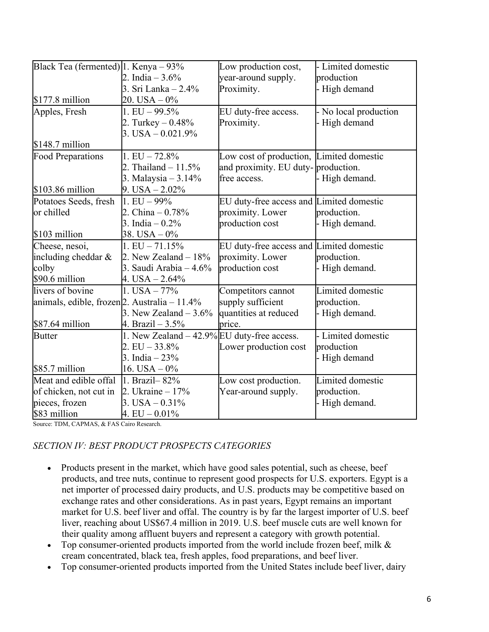| Black Tea (fermented)   1. Kenya $-93\%$     |                                             | Low production cost,                     | - Limited domestic    |
|----------------------------------------------|---------------------------------------------|------------------------------------------|-----------------------|
|                                              | 2. India $-3.6\%$                           | year-around supply.                      | production            |
|                                              | 3. Sri Lanka – 2.4%                         | Proximity.                               | High demand           |
| $$177.8$ million                             | $20. USA - 0\%$                             |                                          |                       |
| Apples, Fresh                                | 1. EU $-99.5\%$                             | EU duty-free access.                     | - No local production |
|                                              | 2. Turkey $-0.48\%$                         | Proximity.                               | - High demand         |
|                                              | $3. USA - 0.021.9\%$                        |                                          |                       |
| $$148.7$ million                             |                                             |                                          |                       |
| <b>Food Preparations</b>                     | $1.EU - 72.8%$                              | Low cost of production, Limited domestic |                       |
|                                              | 2. Thailand $-11.5%$                        | and proximity. EU duty-production.       |                       |
|                                              | 3. Malaysia – 3.14%                         | free access.                             | - High demand.        |
| $$103.86$ million                            | $9.$ USA $- 2.02\%$                         |                                          |                       |
| Potatoes Seeds, fresh                        | $1. EU - 99%$                               | EU duty-free access and Limited domestic |                       |
| or chilled                                   | 2. China $-0.78%$                           | proximity. Lower                         | production.           |
|                                              | 3. India $-0.2%$                            | production cost                          | - High demand.        |
| \$103 million                                | 38. USA $-0\%$                              |                                          |                       |
| Cheese, nesoi,                               | $1.EU - 71.15%$                             | EU duty-free access and Limited domestic |                       |
| including cheddar &                          | 2. New Zealand $-18\%$                      | proximity. Lower                         | production.           |
| colby                                        | 3. Saudi Arabia $-4.6\%$                    | production cost                          | - High demand.        |
| \$90.6 million                               | $4. USA - 2.64\%$                           |                                          |                       |
| livers of bovine                             | 1. USA $-77%$                               | Competitors cannot                       | Limited domestic      |
| animals, edible, frozen 2. Australia - 11.4% |                                             | supply sufficient                        | production.           |
|                                              | 3. New Zealand $-3.6\%$                     | quantities at reduced                    | - High demand.        |
| \$87.64 million                              | 4. Brazil – 3.5%                            | brice.                                   |                       |
| <b>Butter</b>                                | 1. New Zealand – 42.9% EU duty-free access. |                                          | - Limited domestic    |
|                                              | $2.EU - 33.8\%$                             | Lower production cost                    | production            |
|                                              | 3. India $-23%$                             |                                          | - High demand         |
| \$85.7 million                               | 16. USA $-0\%$                              |                                          |                       |
| Meat and edible offal                        | $1.$ Brazil – $82%$                         | Low cost production.                     | Limited domestic      |
| of chicken, not cut in                       | 2. Ukraine – $17%$                          | Year-around supply.                      | production.           |
| pieces, frozen                               | $3. USA - 0.31\%$                           |                                          | - High demand.        |
| \$83 million                                 | $4. EU - 0.01\%$                            |                                          |                       |

Source: TDM, CAPMAS, & FAS Cairo Research.

# *SECTION IV: BEST PRODUCT PROSPECTS CATEGORIES*

- Products present in the market, which have good sales potential, such as cheese, beef products, and tree nuts, continue to represent good prospects for U.S. exporters. Egypt is a net importer of processed dairy products, and U.S. products may be competitive based on exchange rates and other considerations. As in past years, Egypt remains an important market for U.S. beef liver and offal. The country is by far the largest importer of U.S. beef liver, reaching about US\$67.4 million in 2019. U.S. beef muscle cuts are well known for their quality among affluent buyers and represent a category with growth potential.
- Top consumer-oriented products imported from the world include frozen beef, milk  $\&$ cream concentrated, black tea, fresh apples, food preparations, and beef liver.
- Top consumer-oriented products imported from the United States include beef liver, dairy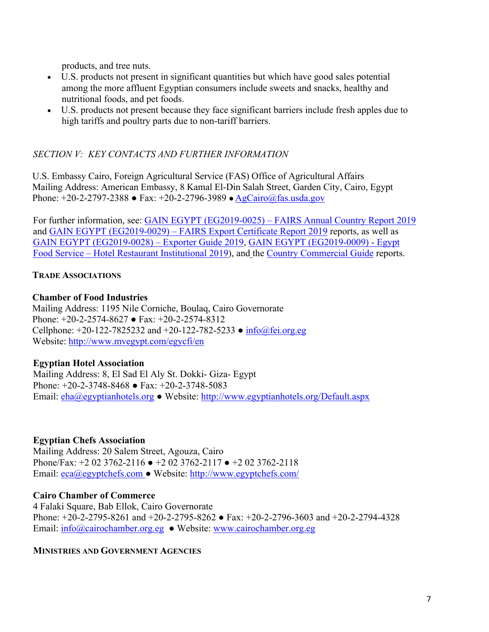products, and tree nuts.

- U.S. products not present in significant quantities but which have good sales potential among the more affluent Egyptian consumers include sweets and snacks, healthy and nutritional foods, and pet foods.
- U.S. products not present because they face significant barriers include fresh apples due to high tariffs and poultry parts due to non-tariff barriers.

# *SECTION V: KEY CONTACTS AND FURTHER INFORMATION*

U.S. Embassy Cairo, Foreign Agricultural Service (FAS) Office of Agricultural Affairs Mailing Address: American Embassy, 8 Kamal El-Din Salah Street, Garden City, Cairo, Egypt Phone:  $+20-2-2797-2388$  • Fax:  $+20-2-2796-3989$  • AgCairo@fas.usda.gov

For further information, see: [GAIN EGYPT \(EG2019-0025\) – FAIRS Annual Country Report 2019](https://apps.fas.usda.gov/newgainapi/api/Report/DownloadReportByFileName?fileName=Food%20and%20Agricultural%20Import%20Regulations%20and%20Standards%20Export%20Certificate%20Report_Cairo_Egypt_12-31-2019) and [GAIN EGYPT \(EG2019-0029\) – FAIRS Export Certificate Report 2019](https://apps.fas.usda.gov/newgainapi/api/Report/DownloadReportByFileName?fileName=Food%20and%20Agricultural%20Import%20Regulations%20and%20Standards%20Country%20Report_Cairo_Egypt_12-31-2019) reports, as well as [GAIN EGYPT \(EG2019-0028\) – Exporter Guide 2019](https://apps.fas.usda.gov/newgainapi/api/Report/DownloadReportByFileName?fileName=Exporter%20Guide_Cairo_Egypt_12-31-2019), [GAIN EGYPT \(EG2019-0009\) - Egypt](https://apps.fas.usda.gov/newgainapi/api/Report/DownloadReportByFileName?fileName=Food%20Service%20-%20Hotel%20Restaurant%20Institutional_Cairo_Egypt_09-30-2019)  [Food Service – Hotel Restaurant Institutional 2019](https://apps.fas.usda.gov/newgainapi/api/Report/DownloadReportByFileName?fileName=Food%20Service%20-%20Hotel%20Restaurant%20Institutional_Cairo_Egypt_09-30-2019)), and the [Country Commercial Guide](https://www.export.gov/article?id=Egypt-Market-Overview) reports.

# **TRADE ASSOCIATIONS**

### **Chamber of Food Industries**

Mailing Address: 1195 Nile Corniche, Boulaq, Cairo Governorate Phone: +20-2-2574-8627 ● Fax: +20-2-2574-8312 Cellphone: +20-122-7825232 and +20-122-782-5233 ● [info@fei.org.eg](mailto:info@fei.org.eg) Website: <http://www.mvegypt.com/egycfi/en>

### **Egyptian Hotel Association**

Mailing Address: 8, El Sad El Aly St. Dokki- Giza- Egypt Phone: +20-2-3748-8468 ● Fax: +20-2-3748-5083 Email: [eha@egyptianhotels.org](mailto:eha@egyptianhotels.org) ● Website: <http://www.egyptianhotels.org/Default.aspx>

### **Egyptian Chefs Association**

Mailing Address: 20 Salem Street, Agouza, Cairo Phone/Fax: +2 02 3762-2116 ● +2 02 3762-2117 ● +2 02 3762-2118 Email: [eca@egyptchefs.com](mailto:eca@egyptchefs.com) ● Website: <http://www.egyptchefs.com/>

### **Cairo Chamber of Commerce**

4 Falaki Square, Bab Ellok, Cairo Governorate Phone: +20-2-2795-8261 and +20-2-2795-8262 ● Fax: +20-2-2796-3603 and +20-2-2794-4328 Email: [info@cairochamber.org.eg](mailto:info@cairochamber.org.eg) ● Website: [www.cairochamber.org.eg](http://www.cairochamber.org.eg/)

### **MINISTRIES AND GOVERNMENT AGENCIES**